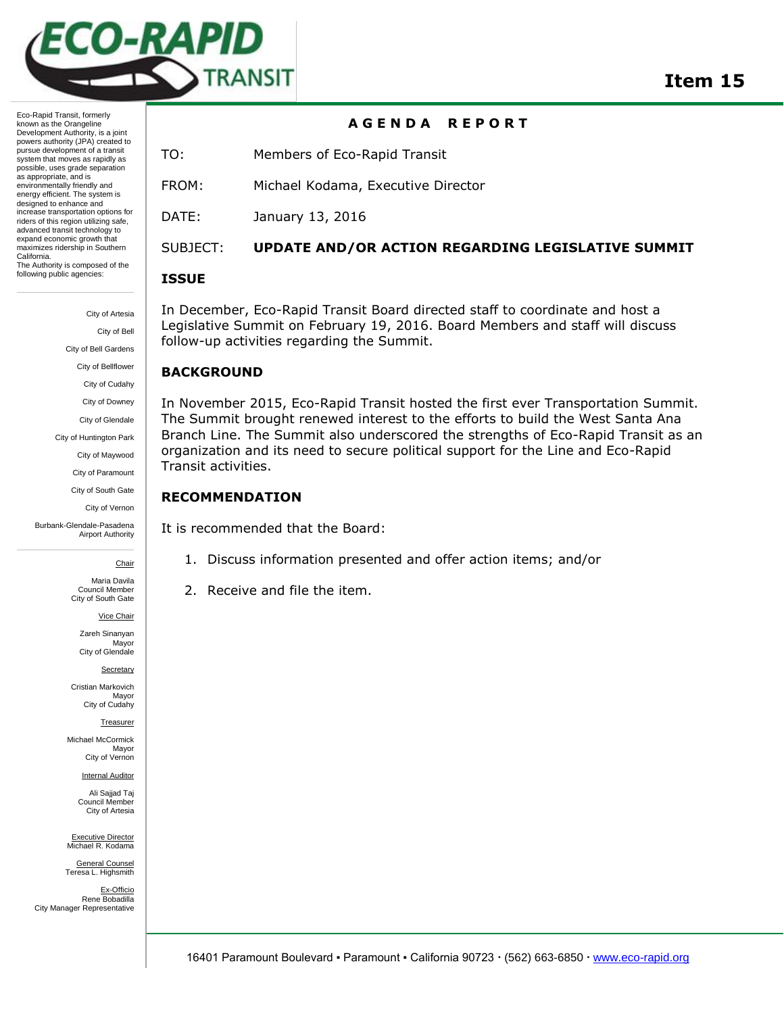

Eco-Rapid Transit, formerly known as the Orangeline Development Authority, is a joint powers authority (JPA) created to pursue development of a transit system that moves as rapidly as possible, uses grade separation as appropriate, and is environmentally friendly and energy efficient. The system is designed to enhance and increase transportation options for riders of this region utilizing safe, advanced transit technology to expand economic growth that maximizes ridership in Southern California. The Authority is composed of the following public agencies:

> City of Artesia City of Bell City of Bell Gardens City of Bellflower City of Cudahy City of Downey City of Glendale City of Huntington Park City of Maywood City of Paramount City of South Gate City of Vernon

Burbank-Glendale-Pasadena Airport Authority

**Chair** 

Maria Davila Council Member City of South Gate

Vice Chair

Zareh Sinanyan Mayor City of Glendale

**Secretary** 

Cristian Markovich Mayor City of Cudahy

Treasurer

Michael McCormick Mayor City of Vernon

Internal Auditor

Ali Sajjad Taj Council Member City of Artesia

Executive Director Michael R. Kodama

General Counsel Teresa L. Highsmith

Ex-Officio Rene Bobadilla City Manager Representative

## **A G E N D A R E P O R T**

TO: Members of Eco-Rapid Transit

FROM: Michael Kodama, Executive Director

DATE: January 13, 2016

# SUBJECT: **UPDATE AND/OR ACTION REGARDING LEGISLATIVE SUMMIT**

#### **ISSUE**

In December, Eco-Rapid Transit Board directed staff to coordinate and host a Legislative Summit on February 19, 2016. Board Members and staff will discuss follow-up activities regarding the Summit.

## **BACKGROUND**

In November 2015, Eco-Rapid Transit hosted the first ever Transportation Summit. The Summit brought renewed interest to the efforts to build the West Santa Ana Branch Line. The Summit also underscored the strengths of Eco-Rapid Transit as an organization and its need to secure political support for the Line and Eco-Rapid Transit activities.

## **RECOMMENDATION**

It is recommended that the Board:

- 1. Discuss information presented and offer action items; and/or
- 2. Receive and file the item.